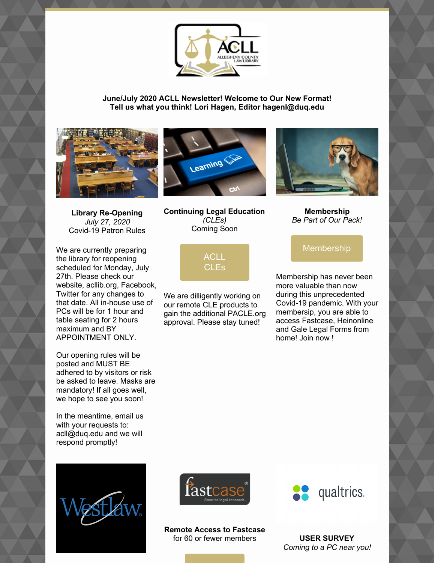

**June/July 2020 ACLL Newsletter! Welcome to Our New Format! Tell us what you think! Lori Hagen, Editor hagenl@duq.edu**





We are currently preparing the library for reopening scheduled for Monday, July 27th. Please check our website, acllib.org, Facebook, Twitter for any changes to that date. All in-house use of PCs will be for 1 hour and table seating for 2 hours maximum and BY APPOINTMENT ONLY.

Our opening rules will be posted and MUST BE adhered to by visitors or risk be asked to leave. Masks are mandatory! If all goes well, we hope to see you soon!

In the meantime, email us with your requests to: acll@duq.edu and we will respond promptly!









**Membership** *Be Part of Our Pack!*

## [Membership](https://www.acllib.org/index.php/membership/)

Membership has never been more valuable than now during this unprecedented Covid-19 pandemic. With your membersip, you are able to access Fastcase, Heinonline and Gale Legal Forms from home! Join now !



We are dilligently working on our remote CLE products to gain the additional PACLE.org approval. Please stay tuned!



**Remote Access to Fastcase** for 60 or fewer members **USER SURVEY**



*Coming to a PC near you!*